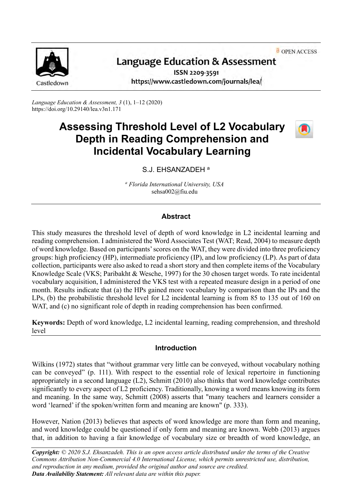OPEN ACCESS



# Language Education & Assessment

ISSN 2209-3591 https://www.castledown.com/journals/lea/

*Language Education & Assessment, 3* (1), 1–12 (2020) https://doi.org/10.29140/lea.v3n1.171

# **Assessing Threshold Level of L2 Vocabulary Depth in Reading Comprehension and Incidental Vocabulary Learning**



S.J. EHSANZADEH<sup>a</sup>

*<sup>a</sup> Florida International University, USA* sehsa002@fiu.edu

# **Abstract**

This study measures the threshold level of depth of word knowledge in L2 incidental learning and reading comprehension. I administered the Word Associates Test (WAT; Read, 2004) to measure depth of word knowledge. Based on participants' scores on the WAT, they were divided into three proficiency groups: high proficiency (HP), intermediate proficiency (IP), and low proficiency (LP). As part of data collection, participants were also asked to read a short story and then complete items of the Vocabulary Knowledge Scale (VKS; Paribakht & Wesche, 1997) for the 30 chosen target words. To rate incidental vocabulary acquisition, I administered the VKS test with a repeated measure design in a period of one month. Results indicate that (a) the HPs gained more vocabulary by comparison than the IPs and the LPs, (b) the probabilistic threshold level for L2 incidental learning is from 85 to 135 out of 160 on WAT, and (c) no significant role of depth in reading comprehension has been confirmed.

**Keywords:** Depth of word knowledge, L2 incidental learning, reading comprehension, and threshold level

## **Introduction**

Wilkins (1972) states that "without grammar very little can be conveyed, without vocabulary nothing can be conveyed" (p. 111). With respect to the essential role of lexical repertoire in functioning appropriately in a second language (L2), Schmitt (2010) also thinks that word knowledge contributes significantly to every aspect of L2 proficiency. Traditionally, knowing a word means knowing its form and meaning. In the same way, Schmitt (2008) asserts that "many teachers and learners consider a word 'learned' if the spoken/written form and meaning are known" (p. 333).

However, Nation (2013) believes that aspects of word knowledge are more than form and meaning, and word knowledge could be questioned if only form and meaning are known. Webb (2013) argues that, in addition to having a fair knowledge of vocabulary size or breadth of word knowledge, an

*Copyright: © 2020 S.J. Ehsanzadeh. This is an open access article distributed under the terms of the [Creative](http://creativecommons.org/licenses/by-nc-nd/4.0)  [Commons Attribution Non-Commercial 4.0 International License,](http://creativecommons.org/licenses/by-nc-nd/4.0) which permits unrestricted use, distribution, and reproduction in any medium, provided the original author and source are credited. Data Availability Statement: All relevant data are within this paper.*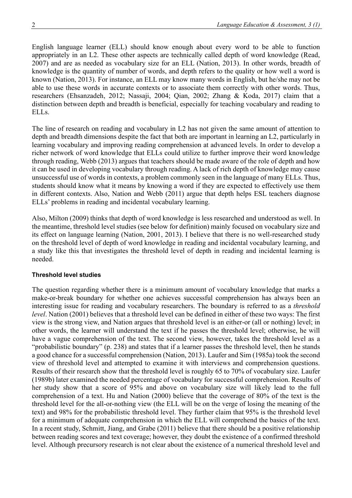English language learner (ELL) should know enough about every word to be able to function appropriately in an L2. These other aspects are technically called depth of word knowledge (Read, 2007) and are as needed as vocabulary size for an ELL (Nation, 2013). In other words, breadth of knowledge is the quantity of number of words, and depth refers to the quality or how well a word is known (Nation, 2013). For instance, an ELL may know many words in English, but he/she may not be able to use these words in accurate contexts or to associate them correctly with other words. Thus, researchers (Ehsanzadeh, 2012; Nassaji, 2004; Qian, 2002; Zhang & Koda, 2017) claim that a distinction between depth and breadth is beneficial, especially for teaching vocabulary and reading to ELLs.

The line of research on reading and vocabulary in L2 has not given the same amount of attention to depth and breadth dimensions despite the fact that both are important in learning an L2, particularly in learning vocabulary and improving reading comprehension at advanced levels. In order to develop a richer network of word knowledge that ELLs could utilize to further improve their word knowledge through reading, Webb (2013) argues that teachers should be made aware of the role of depth and how it can be used in developing vocabulary through reading. A lack of rich depth of knowledge may cause unsuccessful use of words in contexts, a problem commonly seen in the language of many ELLs. Thus, students should know what it means by knowing a word if they are expected to effectively use them in different contexts. Also, Nation and Webb (2011) argue that depth helps ESL teachers diagnose ELLs' problems in reading and incidental vocabulary learning.

Also, Milton (2009) thinks that depth of word knowledge is less researched and understood as well. In the meantime, threshold level studies (see below for definition) mainly focused on vocabulary size and its effect on language learning (Nation, 2001, 2013). I believe that there is no well-researched study on the threshold level of depth of word knowledge in reading and incidental vocabulary learning, and a study like this that investigates the threshold level of depth in reading and incidental learning is needed.

#### **Threshold level studies**

The question regarding whether there is a minimum amount of vocabulary knowledge that marks a make-or-break boundary for whether one achieves successful comprehension has always been an interesting issue for reading and vocabulary researchers. The boundary is referred to as a *threshold level*. Nation (2001) believes that a threshold level can be defined in either of these two ways: The first view is the strong view, and Nation argues that threshold level is an either-or (all or nothing) level; in other words, the learner will understand the text if he passes the threshold level; otherwise, he will have a vague comprehension of the text. The second view, however, takes the threshold level as a "probabilistic boundary" (p. 238) and states that if a learner passes the threshold level, then he stands a good chance for a successful comprehension (Nation, 2013). Laufer and Sim (1985a) took the second view of threshold level and attempted to examine it with interviews and comprehension questions. Results of their research show that the threshold level is roughly 65 to 70% of vocabulary size. Laufer (1989b) later examined the needed percentage of vocabulary for successful comprehension. Results of her study show that a score of 95% and above on vocabulary size will likely lead to the full comprehension of a text. Hu and Nation (2000) believe that the coverage of 80% of the text is the threshold level for the all-or-nothing view (the ELL will be on the verge of losing the meaning of the text) and 98% for the probabilistic threshold level. They further claim that 95% is the threshold level for a minimum of adequate comprehension in which the ELL will comprehend the basics of the text. In a recent study, Schmitt, Jiang, and Grabe (2011) believe that there should be a positive relationship between reading scores and text coverage; however, they doubt the existence of a confirmed threshold level. Although precursory research is not clear about the existence of a numerical threshold level and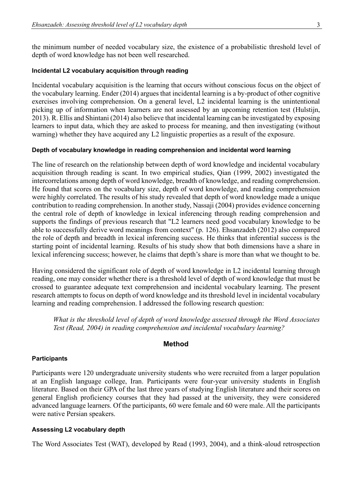the minimum number of needed vocabulary size, the existence of a probabilistic threshold level of depth of word knowledge has not been well researched.

#### **Incidental L2 vocabulary acquisition through reading**

Incidental vocabulary acquisition is the learning that occurs without conscious focus on the object of the vocabulary learning. Ender (2014) argues that incidental learning is a by-product of other cognitive exercises involving comprehension. On a general level, L2 incidental learning is the unintentional picking up of information when learners are not assessed by an upcoming retention test (Hulstijn, 2013). R. Ellis and Shintani (2014) also believe that incidental learning can be investigated by exposing learners to input data, which they are asked to process for meaning, and then investigating (without warning) whether they have acquired any L2 linguistic properties as a result of the exposure.

#### **Depth of vocabulary knowledge in reading comprehension and incidental word learning**

The line of research on the relationship between depth of word knowledge and incidental vocabulary acquisition through reading is scant. In two empirical studies, Qian (1999, 2002) investigated the intercorrelations among depth of word knowledge, breadth of knowledge, and reading comprehension. He found that scores on the vocabulary size, depth of word knowledge, and reading comprehension were highly correlated. The results of his study revealed that depth of word knowledge made a unique contribution to reading comprehension. In another study, Nassaji (2004) provides evidence concerning the central role of depth of knowledge in lexical inferencing through reading comprehension and supports the findings of previous research that "L2 learners need good vocabulary knowledge to be able to successfully derive word meanings from context" (p. 126). Ehsanzadeh (2012) also compared the role of depth and breadth in lexical inferencing success. He thinks that inferential success is the starting point of incidental learning. Results of his study show that both dimensions have a share in lexical inferencing success; however, he claims that depth's share is more than what we thought to be.

Having considered the significant role of depth of word knowledge in L2 incidental learning through reading, one may consider whether there is a threshold level of depth of word knowledge that must be crossed to guarantee adequate text comprehension and incidental vocabulary learning. The present research attempts to focus on depth of word knowledge and its threshold level in incidental vocabulary learning and reading comprehension. I addressed the following research question:

*What is the threshold level of depth of word knowledge assessed through the Word Associates Test (Read, 2004) in reading comprehension and incidental vocabulary learning?*

#### **Method**

#### **Participants**

Participants were 120 undergraduate university students who were recruited from a larger population at an English language college, Iran. Participants were four-year university students in English literature. Based on their GPA of the last three years of studying English literature and their scores on general English proficiency courses that they had passed at the university, they were considered advanced language learners. Of the participants, 60 were female and 60 were male. All the participants were native Persian speakers.

#### **Assessing L2 vocabulary depth**

The Word Associates Test (WAT), developed by Read (1993, 2004), and a think-aloud retrospection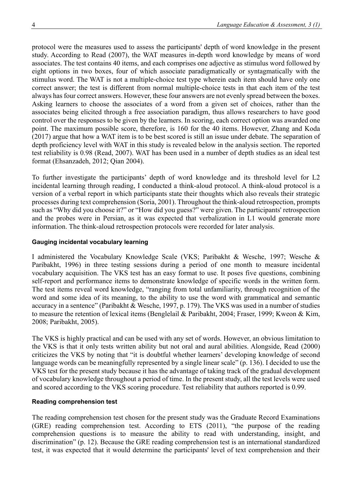protocol were the measures used to assess the participants' depth of word knowledge in the present study. According to Read (2007), the WAT measures in-depth word knowledge by means of word associates. The test contains 40 items, and each comprises one adjective as stimulus word followed by eight options in two boxes, four of which associate paradigmatically or syntagmatically with the stimulus word. The WAT is not a multiple-choice test type wherein each item should have only one correct answer; the test is different from normal multiple-choice tests in that each item of the test always has four correct answers. However, these four answers are not evenly spread between the boxes. Asking learners to choose the associates of a word from a given set of choices, rather than the associates being elicited through a free association paradigm, thus allows researchers to have good control over the responses to be given by the learners. In scoring, each correct option was awarded one point. The maximum possible score, therefore, is 160 for the 40 items. However, Zhang and Koda (2017) argue that how a WAT item is to be best scored is still an issue under debate. The separation of depth proficiency level with WAT in this study is revealed below in the analysis section. The reported test reliability is 0.98 (Read, 2007). WAT has been used in a number of depth studies as an ideal test format (Ehsanzadeh, 2012; Qian 2004).

To further investigate the participants' depth of word knowledge and its threshold level for L2 incidental learning through reading, I conducted a think-aloud protocol. A think-aloud protocol is a version of a verbal report in which participants state their thoughts which also reveals their strategic processes during text comprehension (Soria, 2001). Throughout the think-aloud retrospection, prompts such as "Why did you choose it?" or "How did you guess?" were given. The participants' retrospection and the probes were in Persian, as it was expected that verbalization in L1 would generate more information. The think-aloud retrospection protocols were recorded for later analysis.

## **Gauging incidental vocabulary learning**

I administered the Vocabulary Knowledge Scale (VKS; Paribakht & Wesche, 1997; Wesche & Paribakht, 1996) in three testing sessions during a period of one month to measure incidental vocabulary acquisition. The VKS test has an easy format to use. It poses five questions, combining self-report and performance items to demonstrate knowledge of specific words in the written form. The test items reveal word knowledge, "ranging from total unfamiliarity, through recognition of the word and some idea of its meaning, to the ability to use the word with grammatical and semantic accuracy in a sentence" (Paribakht & Wesche, 1997, p. 179). The VKS was used in a number of studies to measure the retention of lexical items (Benglelail & Paribakht, 2004; Fraser, 1999; Kweon & Kim, 2008; Paribakht, 2005).

The VKS is highly practical and can be used with any set of words. However, an obvious limitation to the VKS is that it only tests written ability but not oral and aural abilities. Alongside, Read (2000) criticizes the VKS by noting that "it is doubtful whether learners' developing knowledge of second language words can be meaningfully represented by a single linear scale" (p. 136). I decided to use the VKS test for the present study because it has the advantage of taking track of the gradual development of vocabulary knowledge throughout a period of time. In the present study, all the test levels were used and scored according to the VKS scoring procedure. Test reliability that authors reported is 0.99.

## **Reading comprehension test**

The reading comprehension test chosen for the present study was the Graduate Record Examinations (GRE) reading comprehension test. According to ETS (2011), "the purpose of the reading comprehension questions is to measure the ability to read with understanding, insight, and discrimination" (p. 12). Because the GRE reading comprehension test is an international standardized test, it was expected that it would determine the participants' level of text comprehension and their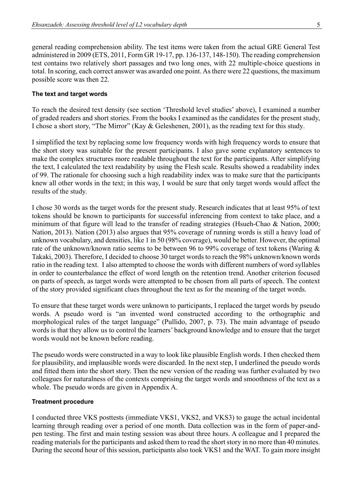general reading comprehension ability. The test items were taken from the actual GRE General Test administered in 2009 (ETS, 2011, Form GR 19-17, pp. 136-137, 148-150). The reading comprehension test contains two relatively short passages and two long ones, with 22 multiple-choice questions in total. In scoring, each correct answer was awarded one point. As there were 22 questions, the maximum possible score was then 22.

#### **The text and target words**

To reach the desired text density (see section 'Threshold level studies' above), I examined a number of graded readers and short stories. From the books I examined as the candidates for the present study, I chose a short story, "The Mirror" (Kay & Geleshenen, 2001), as the reading text for this study.

I simplified the text by replacing some low frequency words with high frequency words to ensure that the short story was suitable for the present participants. I also gave some explanatory sentences to make the complex structures more readable throughout the text for the participants. After simplifying the text, I calculated the text readability by using the Flesh scale. Results showed a readability index of 99. The rationale for choosing such a high readability index was to make sure that the participants knew all other words in the text; in this way, I would be sure that only target words would affect the results of the study.

I chose 30 words as the target words for the present study. Research indicates that at least 95% of text tokens should be known to participants for successful inferencing from context to take place, and a minimum of that figure will lead to the transfer of reading strategies (Hsueh-Chao & Nation, 2000; Nation, 2013). Nation (2013) also argues that 95% coverage of running words is still a heavy load of unknown vocabulary, and densities, like 1 in 50 (98% coverage), would be better. However, the optimal rate of the unknown/known ratio seems to be between 96 to 99% coverage of text tokens (Waring & Takaki, 2003). Therefore, I decided to choose 30 target words to reach the 98% unknown/known words ratio in the reading text. I also attempted to choose the words with different numbers of word syllables in order to counterbalance the effect of word length on the retention trend. Another criterion focused on parts of speech, as target words were attempted to be chosen from all parts of speech. The context of the story provided significant clues throughout the text as for the meaning of the target words.

To ensure that these target words were unknown to participants, I replaced the target words by pseudo words. A pseudo word is "an invented word constructed according to the orthographic and morphological rules of the target language" (Pullido, 2007, p. 73). The main advantage of pseudo words is that they allow us to control the learners' background knowledge and to ensure that the target words would not be known before reading.

The pseudo words were constructed in a way to look like plausible English words. I then checked them for plausibility, and implausible words were discarded. In the next step, I underlined the pseudo words and fitted them into the short story. Then the new version of the reading was further evaluated by two colleagues for naturalness of the contexts comprising the target words and smoothness of the text as a whole. The pseudo words are given in Appendix A.

#### **Treatment procedure**

I conducted three VKS posttests (immediate VKS1, VKS2, and VKS3) to gauge the actual incidental learning through reading over a period of one month. Data collection was in the form of paper-andpen testing. The first and main testing session was about three hours. A colleague and I prepared the reading materials for the participants and asked them to read the short story in no more than 40 minutes. During the second hour of this session, participants also took VKS1 and the WAT. To gain more insight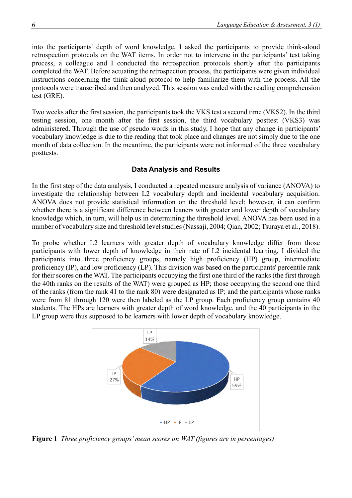into the participants' depth of word knowledge, I asked the participants to provide think-aloud retrospection protocols on the WAT items. In order not to intervene in the participants' test taking process, a colleague and I conducted the retrospection protocols shortly after the participants completed the WAT. Before actuating the retrospection process, the participants were given individual instructions concerning the think-aloud protocol to help familiarize them with the process. All the protocols were transcribed and then analyzed. This session was ended with the reading comprehension test (GRE).

Two weeks after the first session, the participants took the VKS test a second time (VKS2). In the third testing session, one month after the first session, the third vocabulary posttest (VKS3) was administered. Through the use of pseudo words in this study, I hope that any change in participants' vocabulary knowledge is due to the reading that took place and changes are not simply due to the one month of data collection. In the meantime, the participants were not informed of the three vocabulary posttests.

#### **Data Analysis and Results**

In the first step of the data analysis, I conducted a repeated measure analysis of variance (ANOVA) to investigate the relationship between L2 vocabulary depth and incidental vocabulary acquisition. ANOVA does not provide statistical information on the threshold level; however, it can confirm whether there is a significant difference between leaners with greater and lower depth of vocabulary knowledge which, in turn, will help us in determining the threshold level. ANOVA has been used in a number of vocabulary size and threshold level studies (Nassaji, 2004; Qian, 2002; Tsuraya et al., 2018).

To probe whether L2 learners with greater depth of vocabulary knowledge differ from those participants with lower depth of knowledge in their rate of L2 incidental learning, I divided the participants into three proficiency groups, namely high proficiency (HP) group, intermediate proficiency (IP), and low proficiency (LP). This division was based on the participants' percentile rank for their scores on the WAT. The participants occupying the first one third of the ranks (the first through the 40th ranks on the results of the WAT) were grouped as HP; those occupying the second one third of the ranks (from the rank 41 to the rank 80) were designated as IP; and the participants whose ranks were from 81 through 120 were then labeled as the LP group. Each proficiency group contains 40 students. The HPs are learners with greater depth of word knowledge, and the 40 participants in the LP group were thus supposed to be learners with lower depth of vocabulary knowledge.



**Figure 1** *Three proficiency groups' mean scores on WAT (figures are in percentages)*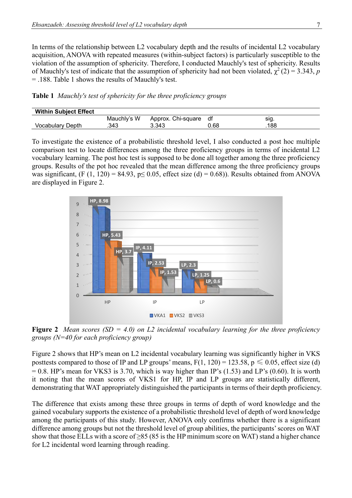In terms of the relationship between L2 vocabulary depth and the results of incidental L2 vocabulary acquisition, ANOVA with repeated measures (within-subject factors) is particularly susceptible to the violation of the assumption of sphericity. Therefore, I conducted Mauchly's test of sphericity. Results of Mauchly's test of indicate that the assumption of sphericity had not been violated,  $\chi^2(2) = 3.343$ , p = .188. Table 1 shows the results of Mauchly's test.

**Table 1** *Mauchly's test of sphericity for the three proficiency groups* 

| <b>Within Subject Effect</b> |             |                    |      |      |
|------------------------------|-------------|--------------------|------|------|
|                              | Mauchly's W | Approx. Chi-square | df   | sıg. |
| Vocabulary Depth             | .343        | 3.343              | 0.68 | 188  |

To investigate the existence of a probabilistic threshold level, I also conducted a post hoc multiple comparison test to locate differences among the three proficiency groups in terms of incidental L2 vocabulary learning. The post hoc test is supposed to be done all together among the three proficiency groups. Results of the pot hoc revealed that the mean difference among the three proficiency groups was significant,  $(F (1, 120) = 84.93, p \le 0.05,$  effect size  $(d) = 0.68$ )). Results obtained from ANOVA are displayed in Figure 2.



**Figure 2** *Mean scores (SD = 4.0) on L2 incidental vocabulary learning for the three proficiency groups (N=40 for each proficiency group)*

Figure 2 shows that HP's mean on L2 incidental vocabulary learning was significantly higher in VKS posttests compared to those of IP and LP groups' means,  $F(1, 120) = 123.58$ ,  $p \le 0.05$ , effect size (d)  $= 0.8$ . HP's mean for VKS3 is 3.70, which is way higher than IP's (1.53) and LP's (0.60). It is worth it noting that the mean scores of VKS1 for HP, IP and LP groups are statistically different, demonstrating that WAT appropriately distinguished the participants in terms of their depth proficiency.

The difference that exists among these three groups in terms of depth of word knowledge and the gained vocabulary supports the existence of a probabilistic threshold level of depth of word knowledge among the participants of this study. However, ANOVA only confirms whether there is a significant difference among groups but not the threshold level of group abilities, the participants' scores on WAT show that those ELLs with a score of  $\geq$ 85 (85 is the HP minimum score on WAT) stand a higher chance for L2 incidental word learning through reading.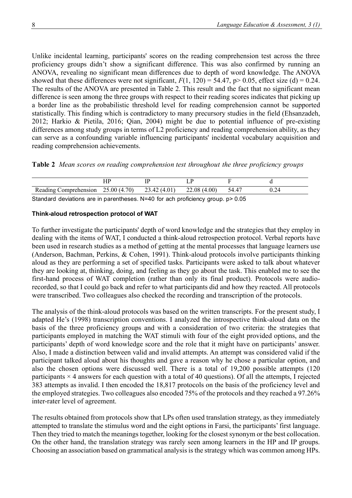Unlike incidental learning, participants' scores on the reading comprehension test across the three proficiency groups didn't show a significant difference. This was also confirmed by running an ANOVA, revealing no significant mean differences due to depth of word knowledge. The ANOVA showed that these differences were not significant,  $F(1, 120) = 54.47$ ,  $p > 0.05$ , effect size (d) = 0.24. The results of the ANOVA are presented in Table 2. This result and the fact that no significant mean difference is seen among the three groups with respect to their reading scores indicates that picking up a border line as the probabilistic threshold level for reading comprehension cannot be supported statistically. This finding which is contradictory to many precursory studies in the field (Ehsanzadeh, 2012; Harkio & Pietila, 2016; Qian, 2004) might be due to potential influence of pre-existing differences among study groups in terms of L2 proficiency and reading comprehension ability, as they can serve as a confounding variable influencing participants' incidental vocabulary acquisition and reading comprehension achievements.

|  |  |  | Table 2 Mean scores on reading comprehension test throughout the three proficiency groups |  |  |  |  |
|--|--|--|-------------------------------------------------------------------------------------------|--|--|--|--|
|--|--|--|-------------------------------------------------------------------------------------------|--|--|--|--|

| Reading Comprehension | 25.00(4.70) | 23.42 (4.01) | 22.08(4.00) | 54.4° | 1.24 |  |
|-----------------------|-------------|--------------|-------------|-------|------|--|
|                       |             |              |             |       |      |  |

Standard deviations are in parentheses. N=40 for ach proficiency group. p> 0.05

## **Think-aloud retrospection protocol of WAT**

To further investigate the participants' depth of word knowledge and the strategies that they employ in dealing with the items of WAT, I conducted a think-aloud retrospection protocol. Verbal reports have been used in research studies as a method of getting at the mental processes that language learners use (Anderson, Bachman, Perkins, & Cohen, 1991). Think-aloud protocols involve participants thinking aloud as they are performing a set of specified tasks. Participants were asked to talk about whatever they are looking at, thinking, doing, and feeling as they go about the task. This enabled me to see the first-hand process of WAT completion (rather than only its final product). Protocols were audiorecorded, so that I could go back and refer to what participants did and how they reacted. All protocols were transcribed. Two colleagues also checked the recording and transcription of the protocols.

The analysis of the think-aloud protocols was based on the written transcripts. For the present study, I adapted He's (1998) transcription conventions. I analyzed the introspective think-aloud data on the basis of the three proficiency groups and with a consideration of two criteria: the strategies that participants employed in matching the WAT stimuli with four of the eight provided options, and the participants' depth of word knowledge score and the role that it might have on participants' answer. Also, I made a distinction between valid and invalid attempts. An attempt was considered valid if the participant talked aloud about his thoughts and gave a reason why he chose a particular option, and also the chosen options were discussed well. There is a total of 19,200 possible attempts (120 participants  $\times$  4 answers for each question with a total of 40 questions). Of all the attempts, I rejected 383 attempts as invalid. I then encoded the 18,817 protocols on the basis of the proficiency level and the employed strategies. Two colleagues also encoded 75% of the protocols and they reached a 97.26% inter-rater level of agreement.

The results obtained from protocols show that LPs often used translation strategy, as they immediately attempted to translate the stimulus word and the eight options in Farsi, the participants' first language. Then they tried to match the meanings together, looking for the closest synonym or the best collocation. On the other hand, the translation strategy was rarely seen among learners in the HP and IP groups. Choosing an association based on grammatical analysis is the strategy which was common among HPs.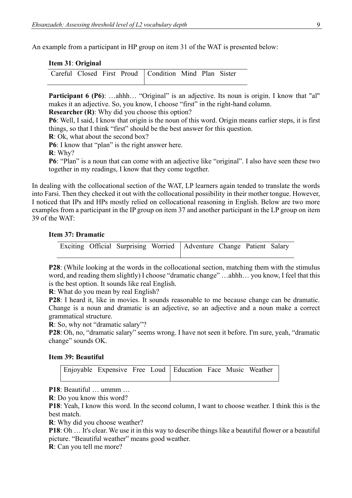An example from a participant in HP group on item 31 of the WAT is presented below:

|  |  | Item 31: Original |
|--|--|-------------------|
|--|--|-------------------|

|  |  | Careful Closed First Proud   Condition Mind Plan Sister |  |  |
|--|--|---------------------------------------------------------|--|--|
|  |  |                                                         |  |  |

Participant 6 (P6): ...ahhh... "Original" is an adjective. Its noun is origin. I know that "al" makes it an adjective. So, you know, I choose "first" in the right-hand column.

**Researcher (R)**: Why did you choose this option?

**P6**: Well, I said, I know that origin is the noun of this word. Origin means earlier steps, it is first things, so that I think "first" should be the best answer for this question.

**R**: Ok, what about the second box?

**P6**: I know that "plan" is the right answer here.

**R**: Why?

**P6**: "Plan" is a noun that can come with an adjective like "original". I also have seen these two together in my readings, I know that they come together.

In dealing with the collocational section of the WAT, LP learners again tended to translate the words into Farsi. Then they checked it out with the collocational possibility in their mother tongue. However, I noticed that IPs and HPs mostly relied on collocational reasoning in English. Below are two more examples from a participant in the IP group on item 37 and another participant in the LP group on item 39 of the WAT:

#### **Item 37: Dramatic**

|  |  | Exciting Official Surprising Worried   Adventure Change Patient Salary |  |  |
|--|--|------------------------------------------------------------------------|--|--|
|  |  |                                                                        |  |  |

**P28**: (While looking at the words in the collocational section, matching them with the stimulus word, and reading them slightly) I choose "dramatic change" ...ahhh... you know, I feel that this is the best option. It sounds like real English.

**R**: What do you mean by real English?

**P28**: I heard it, like in movies. It sounds reasonable to me because change can be dramatic. Change is a noun and dramatic is an adjective, so an adjective and a noun make a correct grammatical structure.

**R**: So, why not "dramatic salary"?

**P28**: Oh, no, "dramatic salary" seems wrong. I have not seen it before. I'm sure, yeah, "dramatic change" sounds OK.

#### **Item 39: Beautiful**

|  |  | Enjoyable Expensive Free Loud Education Face Music Weather |  |  |
|--|--|------------------------------------------------------------|--|--|
|  |  |                                                            |  |  |

**P18**: Beautiful … ummm …

**R**: Do you know this word?

**P18**: Yeah, I know this word. In the second column, I want to choose weather. I think this is the best match.

**R**: Why did you choose weather?

**P18**: Oh … It's clear. We use it in this way to describe things like a beautiful flower or a beautiful picture. "Beautiful weather" means good weather.

**R**: Can you tell me more?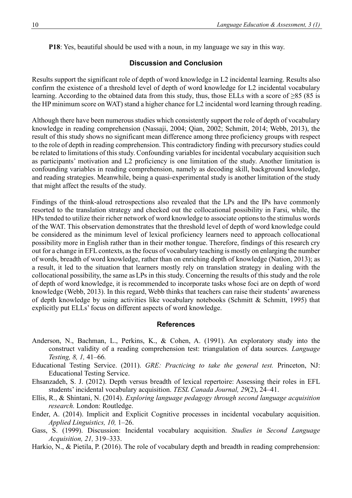**P18**: Yes, beautiful should be used with a noun, in my language we say in this way.

## **Discussion and Conclusion**

Results support the significant role of depth of word knowledge in L2 incidental learning. Results also confirm the existence of a threshold level of depth of word knowledge for L2 incidental vocabulary learning. According to the obtained data from this study, thus, those ELLs with a score of ≥85 (85 is the HP minimum score on WAT) stand a higher chance for L2 incidental word learning through reading.

Although there have been numerous studies which consistently support the role of depth of vocabulary knowledge in reading comprehension (Nassaji, 2004; Qian, 2002; Schmitt, 2014; Webb, 2013), the result of this study shows no significant mean difference among three proficiency groups with respect to the role of depth in reading comprehension. This contradictory finding with precursory studies could be related to limitations of this study. Confounding variables for incidental vocabulary acquisition such as participants' motivation and L2 proficiency is one limitation of the study. Another limitation is confounding variables in reading comprehension, namely as decoding skill, background knowledge, and reading strategies. Meanwhile, being a quasi-experimental study is another limitation of the study that might affect the results of the study.

Findings of the think-aloud retrospections also revealed that the LPs and the IPs have commonly resorted to the translation strategy and checked out the collocational possibility in Farsi, while, the HPs tended to utilize their richer network of word knowledge to associate options to the stimulus words of the WAT. This observation demonstrates that the threshold level of depth of word knowledge could be considered as the minimum level of lexical proficiency learners need to approach collocational possibility more in English rather than in their mother tongue. Therefore, findings of this research cry out for a change in EFL contexts, as the focus of vocabulary teaching is mostly on enlarging the number of words, breadth of word knowledge, rather than on enriching depth of knowledge (Nation, 2013); as a result, it led to the situation that learners mostly rely on translation strategy in dealing with the collocational possibility, the same asLPs in this study. Concerning the results of this study and the role of depth of word knowledge, it is recommended to incorporate tasks whose foci are on depth of word knowledge (Webb, 2013). In this regard, Webb thinks that teachers can raise their students' awareness of depth knowledge by using activities like vocabulary notebooks (Schmitt & Schmitt, 1995) that explicitly put ELLs' focus on different aspects of word knowledge.

## **References**

- Anderson, N., Bachman, L., Perkins, K., & Cohen, A. (1991). An exploratory study into the construct validity of a reading comprehension test: triangulation of data sources*. Language Testing, 8, 1,* 41–66*.*
- Educational Testing Service. (2011). *GRE: Practicing to take the general test.* Princeton, NJ: Educational Testing Service.
- Ehsanzadeh, S. J. (2012). Depth versus breadth of lexical repertoire: Assessing their roles in EFL students' incidental vocabulary acquisition. *TESL Canada Journal, 29*(2), 24–41.
- Ellis, R., & Shintani, N. (2014). *Exploring language pedagogy through second language acquisition research.* London: Routledge.
- Ender, A. (2014). Implicit and Explicit Cognitive processes in incidental vocabulary acquisition. *Applied Linguistics, 10,* 1–26.
- Gass, S. (1999). Discussion: Incidental vocabulary acquisition. *Studies in Second Language Acquisition, 21,* 319–333.
- Harkio, N., & Pietila, P. (2016). The role of vocabulary depth and breadth in reading comprehension: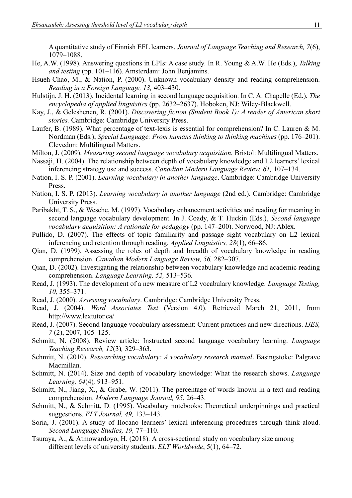A quantitative study of Finnish EFL learners. *Journal of Language Teaching and Research, 7*(6), 1079–1088.

- He, A.W. (1998). Answering questions in LPIs: A case study. In R. Young & A.W. He (Eds.), *Talking and testing* (pp. 101–116). Amsterdam: John Benjamins.
- Hsueh-Chao, M., & Nation, P. (2000). Unknown vocabulary density and reading comprehension. *Reading in a Foreign Language, 13,* 403–430.
- Hulstijn, J. H. (2013). Incidental learning in second language acquisition. In C. A. Chapelle (Ed.), *The encyclopedia of applied linguistics* (pp. 2632–2637). Hoboken, NJ: Wiley-Blackwell.
- Kay, J., & Geleshenen, R. (2001). *Discovering fiction (Student Book 1): A reader of American short stories.* Cambridge: Cambridge University Press.
- Laufer, B. (1989). What percentage of text-lexis is essential for comprehension? In C. Lauren & M. Nordman (Eds.), *Special Language: From humans thinking to thinking machines* (pp. 176–201). Clevedon: Multilingual Matters.
- Milton, J. (2009). *Measuring second language vocabulary acquisition.* Bristol: Multilingual Matters.
- Nassaji, H. (2004). The relationship between depth of vocabulary knowledge and L2 learners' lexical inferencing strategy use and success. *Canadian Modern Language Review, 61,* 107–134.
- Nation, I. S. P. (2001). *Learning vocabulary in another language*. Cambridge: Cambridge University Press.
- Nation, I. S. P. (2013). *Learning vocabulary in another language* (2nd ed.). Cambridge: Cambridge University Press.
- Paribakht, T. S., & Wesche, M. (1997). Vocabulary enhancement activities and reading for meaning in second language vocabulary development. In J. Coady, & T. Huckin (Eds.), *Second language vocabulary acquisition: A rationale for pedagogy* (pp. 147–200). Norwood, NJ: Ablex.
- Pullido, D. (2007). The effects of topic familiarity and passage sight vocabulary on L2 lexical inferencing and retention through reading. *Applied Linguistics, 28*(1), 66–86.
- Qian, D. (1999). Assessing the roles of depth and breadth of vocabulary knowledge in reading comprehension. *Canadian Modern Language Review, 56,* 282–307.
- Qian, D. (2002). Investigating the relationship between vocabulary knowledge and academic reading comprehension. *Language Learning, 52,* 513–536*.*
- Read, J. (1993). The development of a new measure of L2 vocabulary knowledge. *Language Testing, 10,* 355–371.
- Read, J. (2000). *Assessing vocabulary*. Cambridge: Cambridge University Press.
- Read, J. (2004). *Word Associates Test* (Version 4.0). Retrieved March 21, 2011, from <http://www.lextutor.ca/>
- Read, J. (2007). Second language vocabulary assessment: Current practices and new directions. *IJES, 7* (2), 2007, 105–125.
- Schmitt, N. (2008). Review article: Instructed second language vocabulary learning. *Language Teaching Research, 12*(3)*,* 329–363.
- Schmitt, N. (2010). *Researching vocabulary: A vocabulary research manual*. Basingstoke: Palgrave Macmillan.
- Schmitt, N. (2014). Size and depth of vocabulary knowledge: What the research shows. *Language Learning, 64*(4)*,* 913–951.
- Schmitt, N., Jiang, X., & Grabe, W. (2011). The percentage of words known in a text and reading comprehension. *Modern Language Journal, 95*, 26–43.
- Schmitt, N., & Schmitt, D. (1995). Vocabulary notebooks: Theoretical underpinnings and practical suggestions. *ELT Journal, 49,* 133–143.
- Soria, J. (2001). A study of Ilocano learners' lexical inferencing procedures through think-aloud. *Second Language Studies, 19,* 77–110.
- Tsuraya, A., & Atmowardoyo, H. (2018). A cross-sectional study on vocabulary size among different levels of university students. *ELT Worldwide*, 5(1), 64–72.